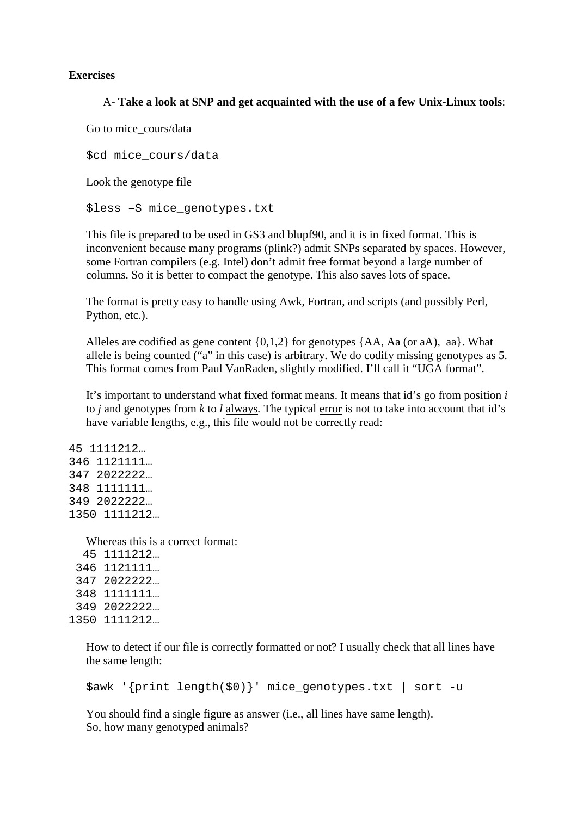## **Exercises**

## A- **Take a look at SNP and get acquainted with the use of a few Unix-Linux tools**:

Go to mice\_cours/data

\$cd mice\_cours/data

Look the genotype file

\$less –S mice\_genotypes.txt

This file is prepared to be used in GS3 and blupf90, and it is in fixed format. This is inconvenient because many programs (plink?) admit SNPs separated by spaces. However, some Fortran compilers (e.g. Intel) don't admit free format beyond a large number of columns. So it is better to compact the genotype. This also saves lots of space.

The format is pretty easy to handle using Awk, Fortran, and scripts (and possibly Perl, Python, etc.).

Alleles are codified as gene content  $\{0,1,2\}$  for genotypes  $\{AA, Aa$  (or aA), aa}. What allele is being counted ("a" in this case) is arbitrary. We do codify missing genotypes as 5. This format comes from Paul VanRaden, slightly modified. I'll call it "UGA format".

It's important to understand what fixed format means. It means that id's go from position *i* to *j* and genotypes from *k* to *l* always*.* The typical error is not to take into account that id's have variable lengths, e.g., this file would not be correctly read:

45 1111212… 346 1121111… 347 2022222… 348 1111111… 349 2022222… 1350 1111212…

Whereas this is a correct format:

 45 1111212… 346 1121111… 347 2022222… 348 1111111… 349 2022222… 1350 1111212…

> How to detect if our file is correctly formatted or not? I usually check that all lines have the same length:

\$awk '{print length(\$0)}' mice\_genotypes.txt | sort -u

You should find a single figure as answer (i.e., all lines have same length). So, how many genotyped animals?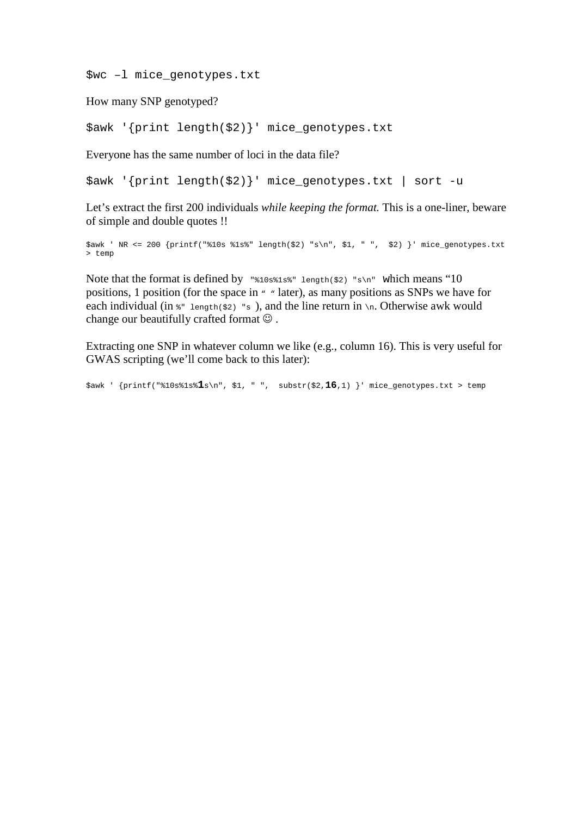\$wc –l mice\_genotypes.txt

How many SNP genotyped?

\$awk '{print length(\$2)}' mice\_genotypes.txt

Everyone has the same number of loci in the data file?

\$awk '{print length(\$2)}' mice\_genotypes.txt | sort -u

Let's extract the first 200 individuals *while keeping the format.* This is a one-liner, beware of simple and double quotes !!

\$awk ' NR <= 200 {printf("%10s %1s%" length(\$2) "s\n", \$1, " ", \$2) }' mice\_genotypes.txt > temp

Note that the format is defined by  $\sqrt{\frac{1}{2}}$  \*10s\$1s\$" length(\$2) "s\n" which means "10 positions, 1 position (for the space in " " later), as many positions as SNPs we have for each individual (in  $\ast$ " length( $\sharp$ 2) "s), and the line return in \n. Otherwise awk would change our beautifully crafted format  $\odot$ .

Extracting one SNP in whatever column we like (e.g., column 16). This is very useful for GWAS scripting (we'll come back to this later):

\$awk ' {printf("%10s%1s%**1**s\n", \$1, " ", substr(\$2,**16**,1) }' mice\_genotypes.txt > temp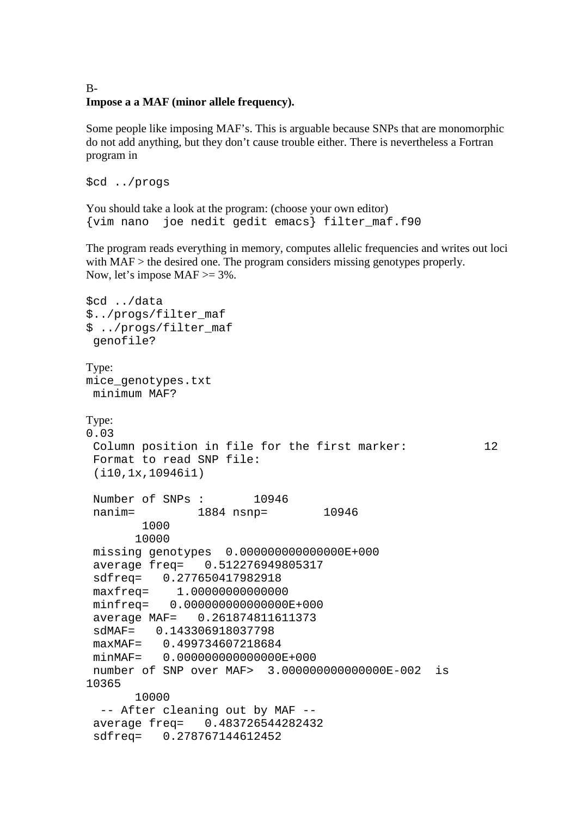## B-**Impose a a MAF (minor allele frequency).**

Some people like imposing MAF's. This is arguable because SNPs that are monomorphic do not add anything, but they don't cause trouble either. There is nevertheless a Fortran program in

```
$cd ../progs
```
You should take a look at the program: (choose your own editor) {vim nano joe nedit gedit emacs} filter\_maf.f90

The program reads everything in memory, computes allelic frequencies and writes out loci with MAF > the desired one. The program considers missing genotypes properly. Now, let's impose  $MAF \geq 3\%$ .

```
$cd ../data 
$../progs/filter_maf 
$ ../progs/filter_maf 
 genofile? 
Type: 
mice_genotypes.txt 
 minimum MAF? 
Type: 
0.03 
 Column position in file for the first marker: 12
  Format to read SNP file: 
  (i10,1x,10946i1) 
 Number of SNPs : 10946 
 nanim= 1884 nsnp= 10946
        1000 
        10000 
  missing genotypes 0.000000000000000E+000 
  average freq= 0.512276949805317 
  sdfreq= 0.277650417982918 
  maxfreq= 1.00000000000000 
 minfreq= 0.000000000000000E+000 
  average MAF= 0.261874811611373 
  sdMAF= 0.143306918037798 
  maxMAF= 0.499734607218684 
  minMAF= 0.000000000000000E+000 
 number of SNP over MAF> 3.000000000000000E-002 is 
10365 
        10000 
   -- After cleaning out by MAF -- 
  average freq= 0.483726544282432 
  sdfreq= 0.278767144612452
```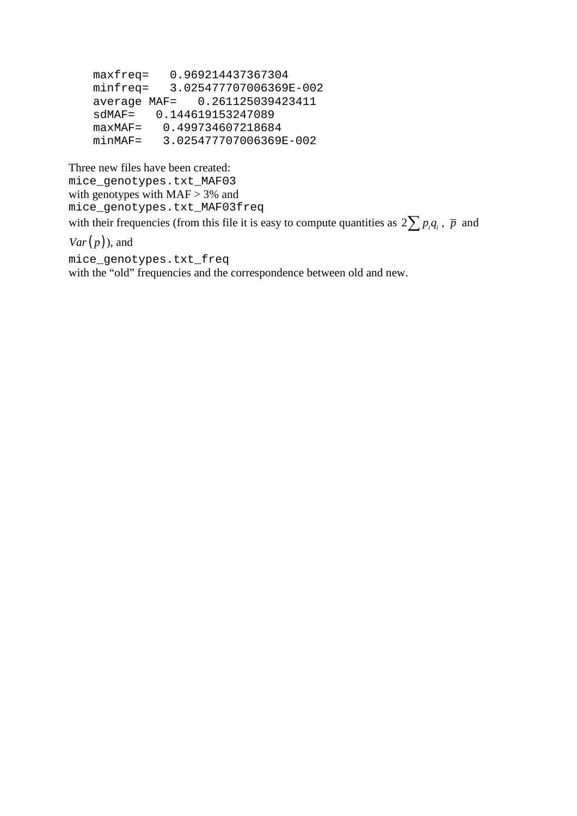```
 maxfreq= 0.969214437367304 
 minfreq= 3.025477707006369E-002 
 average MAF= 0.261125039423411 
 sdMAF= 0.144619153247089 
 maxMAF= 0.499734607218684 
 minMAF= 3.025477707006369E-002
```

```
Three new files have been created: 
mice_genotypes.txt_MAF03 
with genotypes with MAF > 3% and
mice_genotypes.txt_MAF03freq 
with their frequencies (from this file it is easy to compute quantities as 2\sum p_i q_i, \bar{p} and
```
 $Var(p)$ , and

mice\_genotypes.txt\_freq with the "old" frequencies and the correspondence between old and new.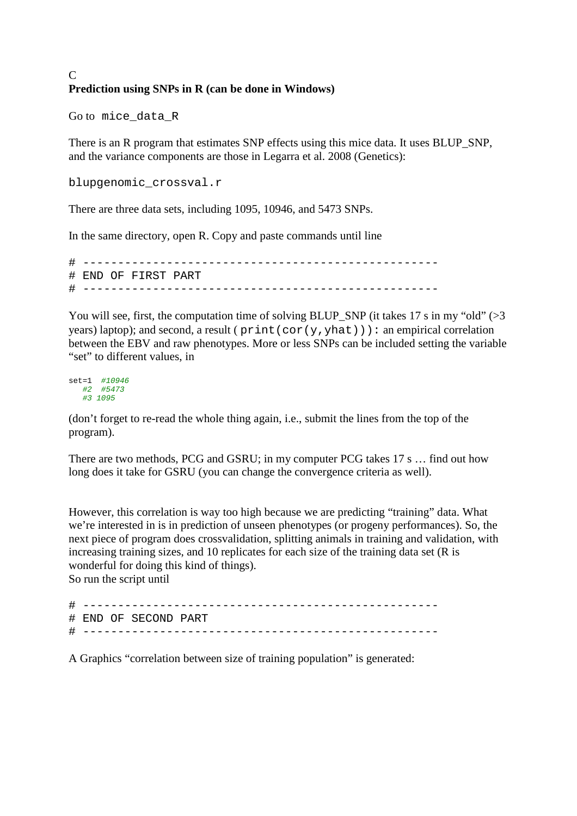## C **Prediction using SNPs in R (can be done in Windows)**

Go to mice\_data\_R

There is an R program that estimates SNP effects using this mice data. It uses BLUP\_SNP, and the variance components are those in Legarra et al. 2008 (Genetics):

```
blupgenomic_crossval.r
```
There are three data sets, including 1095, 10946, and 5473 SNPs.

In the same directory, open R. Copy and paste commands until line

```
# --------------------------------------------------- 
# END OF FIRST PART 
# ---------------------------------------------------
```
You will see, first, the computation time of solving BLUP\_SNP (it takes 17 s in my "old"  $>3$ years) laptop); and second, a result ( $print(cor(y,yhat))$ ): an empirical correlation between the EBV and raw phenotypes. More or less SNPs can be included setting the variable "set" to different values, in

set=1 #10946 #2 #5473 #3 1095

(don't forget to re-read the whole thing again, i.e., submit the lines from the top of the program).

There are two methods, PCG and GSRU; in my computer PCG takes 17 s … find out how long does it take for GSRU (you can change the convergence criteria as well).

However, this correlation is way too high because we are predicting "training" data. What we're interested in is in prediction of unseen phenotypes (or progeny performances). So, the next piece of program does crossvalidation, splitting animals in training and validation, with increasing training sizes, and 10 replicates for each size of the training data set (R is wonderful for doing this kind of things). So run the script until

# ---------------------------------------------------

# END OF SECOND PART # ---------------------------------------------------

A Graphics "correlation between size of training population" is generated: